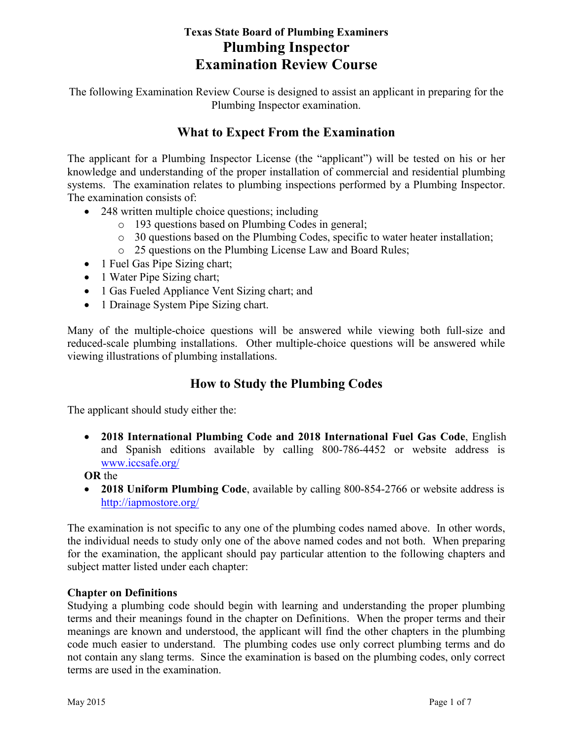# **Texas State Board of Plumbing Examiners Plumbing Inspector Examination Review Course**

The following Examination Review Course is designed to assist an applicant in preparing for the Plumbing Inspector examination.

# **What to Expect From the Examination**

The applicant for a Plumbing Inspector License (the "applicant") will be tested on his or her knowledge and understanding of the proper installation of commercial and residential plumbing systems. The examination relates to plumbing inspections performed by a Plumbing Inspector. The examination consists of:

- 248 written multiple choice questions; including
	- o 193 questions based on Plumbing Codes in general;
	- o 30 questions based on the Plumbing Codes, specific to water heater installation;
	- o 25 questions on the Plumbing License Law and Board Rules;
- 1 Fuel Gas Pipe Sizing chart;
- 1 Water Pipe Sizing chart;
- 1 Gas Fueled Appliance Vent Sizing chart; and
- 1 Drainage System Pipe Sizing chart.

Many of the multiple-choice questions will be answered while viewing both full-size and reduced-scale plumbing installations. Other multiple-choice questions will be answered while viewing illustrations of plumbing installations.

# **How to Study the Plumbing Codes**

The applicant should study either the:

- **2018 International Plumbing Code and 2018 International Fuel Gas Code**, English and Spanish editions available by calling 800-786-4452 or website address is [www.iccsafe.org/](http://www.iccsafe.org/)
- **OR** the
- **2018 Uniform Plumbing Code**, available by calling 800-854-2766 or website address is <http://iapmostore.org/>

The examination is not specific to any one of the plumbing codes named above. In other words, the individual needs to study only one of the above named codes and not both. When preparing for the examination, the applicant should pay particular attention to the following chapters and subject matter listed under each chapter:

# **Chapter on Definitions**

Studying a plumbing code should begin with learning and understanding the proper plumbing terms and their meanings found in the chapter on Definitions. When the proper terms and their meanings are known and understood, the applicant will find the other chapters in the plumbing code much easier to understand. The plumbing codes use only correct plumbing terms and do not contain any slang terms. Since the examination is based on the plumbing codes, only correct terms are used in the examination.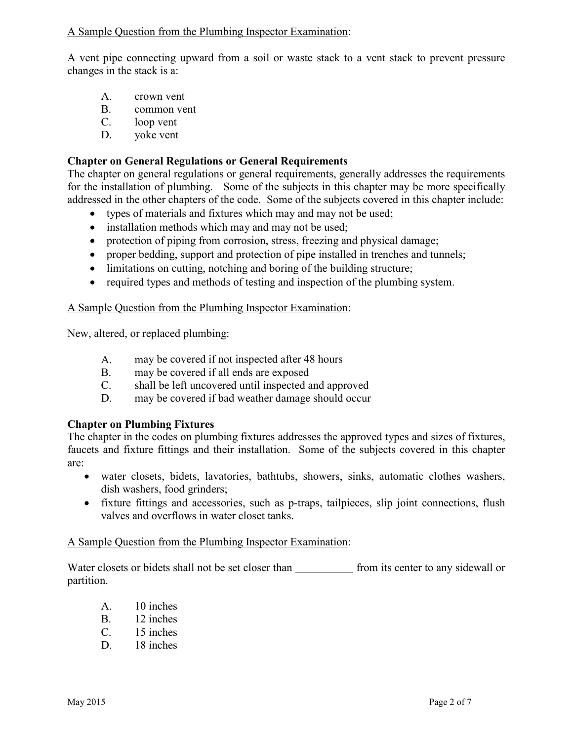## A Sample Question from the Plumbing Inspector Examination:

A vent pipe connecting upward from a soil or waste stack to a vent stack to prevent pressure changes in the stack is a:

- A. crown vent
- B. common vent
- C. loop vent
- D. yoke vent

## **Chapter on General Regulations or General Requirements**

The chapter on general regulations or general requirements, generally addresses the requirements for the installation of plumbing. Some of the subjects in this chapter may be more specifically addressed in the other chapters of the code. Some of the subjects covered in this chapter include:

- types of materials and fixtures which may and may not be used;
- installation methods which may and may not be used;
- protection of piping from corrosion, stress, freezing and physical damage;
- proper bedding, support and protection of pipe installed in trenches and tunnels;
- limitations on cutting, notching and boring of the building structure;
- required types and methods of testing and inspection of the plumbing system.

## A Sample Question from the Plumbing Inspector Examination:

New, altered, or replaced plumbing:

- A. may be covered if not inspected after 48 hours
- B. may be covered if all ends are exposed
- C. shall be left uncovered until inspected and approved
- D. may be covered if bad weather damage should occur

## **Chapter on Plumbing Fixtures**

The chapter in the codes on plumbing fixtures addresses the approved types and sizes of fixtures, faucets and fixture fittings and their installation. Some of the subjects covered in this chapter are:

- water closets, bidets, lavatories, bathtubs, showers, sinks, automatic clothes washers, dish washers, food grinders;
- fixture fittings and accessories, such as p-traps, tailpieces, slip joint connections, flush valves and overflows in water closet tanks.

#### A Sample Question from the Plumbing Inspector Examination:

Water closets or bidets shall not be set closer than from its center to any sidewall or partition.

- A. 10 inches
- B. 12 inches
- C. 15 inches
- D. 18 inches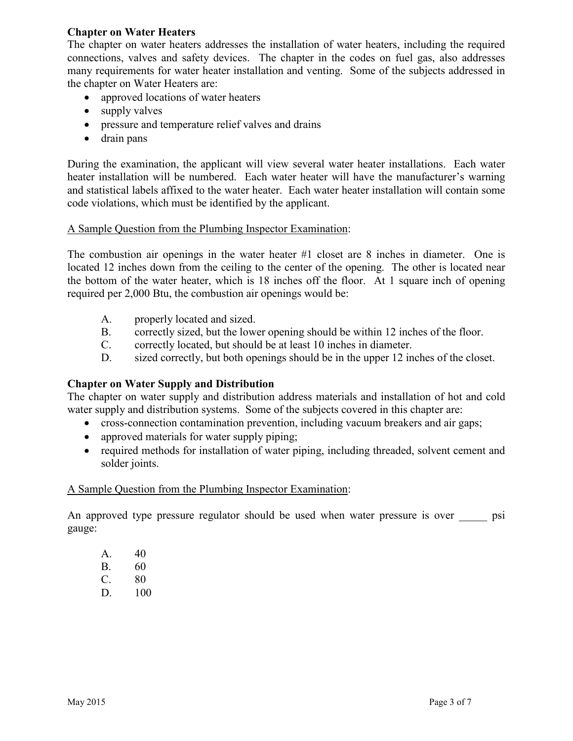## **Chapter on Water Heaters**

The chapter on water heaters addresses the installation of water heaters, including the required connections, valves and safety devices. The chapter in the codes on fuel gas, also addresses many requirements for water heater installation and venting. Some of the subjects addressed in the chapter on Water Heaters are:

- approved locations of water heaters
- supply valves
- pressure and temperature relief valves and drains
- drain pans

During the examination, the applicant will view several water heater installations. Each water heater installation will be numbered. Each water heater will have the manufacturer's warning and statistical labels affixed to the water heater. Each water heater installation will contain some code violations, which must be identified by the applicant.

## A Sample Question from the Plumbing Inspector Examination:

The combustion air openings in the water heater #1 closet are 8 inches in diameter. One is located 12 inches down from the ceiling to the center of the opening. The other is located near the bottom of the water heater, which is 18 inches off the floor. At 1 square inch of opening required per 2,000 Btu, the combustion air openings would be:

- A. properly located and sized.
- B. correctly sized, but the lower opening should be within 12 inches of the floor.
- C. correctly located, but should be at least 10 inches in diameter.
- D. sized correctly, but both openings should be in the upper 12 inches of the closet.

## **Chapter on Water Supply and Distribution**

The chapter on water supply and distribution address materials and installation of hot and cold water supply and distribution systems. Some of the subjects covered in this chapter are:

- cross-connection contamination prevention, including vacuum breakers and air gaps;
- approved materials for water supply piping;
- required methods for installation of water piping, including threaded, solvent cement and solder joints.

## A Sample Question from the Plumbing Inspector Examination:

An approved type pressure regulator should be used when water pressure is over psi gauge:

- A. 40
- B. 60
- C. 80
- D. 100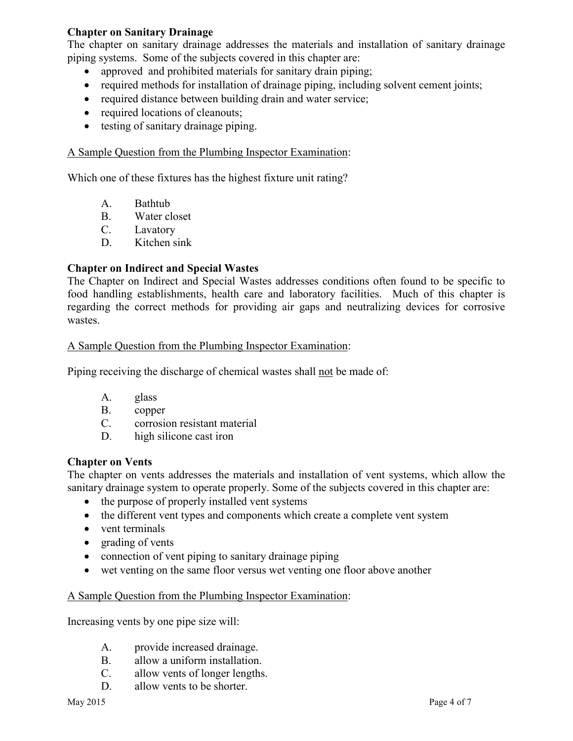## **Chapter on Sanitary Drainage**

The chapter on sanitary drainage addresses the materials and installation of sanitary drainage piping systems. Some of the subjects covered in this chapter are:

- approved and prohibited materials for sanitary drain piping;
- required methods for installation of drainage piping, including solvent cement joints;
- required distance between building drain and water service:
- required locations of cleanouts;
- testing of sanitary drainage piping.

## A Sample Question from the Plumbing Inspector Examination:

Which one of these fixtures has the highest fixture unit rating?

- A. Bathtub
- B. Water closet
- C. Lavatory
- D. Kitchen sink

## **Chapter on Indirect and Special Wastes**

The Chapter on Indirect and Special Wastes addresses conditions often found to be specific to food handling establishments, health care and laboratory facilities. Much of this chapter is regarding the correct methods for providing air gaps and neutralizing devices for corrosive wastes.

#### A Sample Question from the Plumbing Inspector Examination:

Piping receiving the discharge of chemical wastes shall not be made of:

- A. glass
- B. copper
- C. corrosion resistant material
- D. high silicone cast iron

## **Chapter on Vents**

The chapter on vents addresses the materials and installation of vent systems, which allow the sanitary drainage system to operate properly. Some of the subjects covered in this chapter are:

- the purpose of properly installed vent systems
- the different vent types and components which create a complete vent system
- vent terminals
- grading of vents
- connection of vent piping to sanitary drainage piping
- wet venting on the same floor versus wet venting one floor above another

#### A Sample Question from the Plumbing Inspector Examination:

Increasing vents by one pipe size will:

- A. provide increased drainage.
- B. allow a uniform installation.
- C. allow vents of longer lengths.
- D. allow vents to be shorter.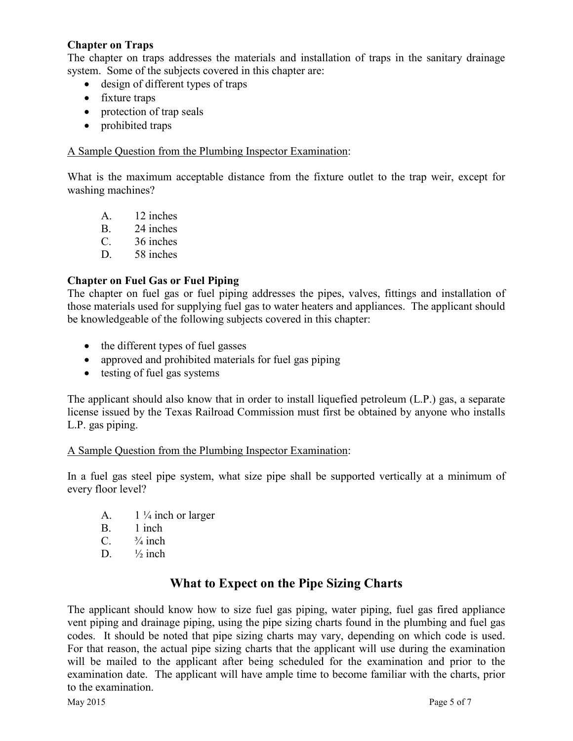# **Chapter on Traps**

The chapter on traps addresses the materials and installation of traps in the sanitary drainage system. Some of the subjects covered in this chapter are:

- design of different types of traps
- fixture traps
- protection of trap seals
- prohibited traps

## A Sample Question from the Plumbing Inspector Examination:

What is the maximum acceptable distance from the fixture outlet to the trap weir, except for washing machines?

- A. 12 inches
- B. 24 inches
- C. 36 inches
- D. 58 inches

# **Chapter on Fuel Gas or Fuel Piping**

The chapter on fuel gas or fuel piping addresses the pipes, valves, fittings and installation of those materials used for supplying fuel gas to water heaters and appliances. The applicant should be knowledgeable of the following subjects covered in this chapter:

- the different types of fuel gasses
- approved and prohibited materials for fuel gas piping
- testing of fuel gas systems

The applicant should also know that in order to install liquefied petroleum (L.P.) gas, a separate license issued by the Texas Railroad Commission must first be obtained by anyone who installs L.P. gas piping.

## A Sample Question from the Plumbing Inspector Examination:

In a fuel gas steel pipe system, what size pipe shall be supported vertically at a minimum of every floor level?

- A.  $1\frac{1}{4}$  inch or larger
- B. 1 inch
- C.  $\frac{3}{4}$  inch
- D.  $\frac{1}{2}$  inch

# **What to Expect on the Pipe Sizing Charts**

The applicant should know how to size fuel gas piping, water piping, fuel gas fired appliance vent piping and drainage piping, using the pipe sizing charts found in the plumbing and fuel gas codes. It should be noted that pipe sizing charts may vary, depending on which code is used. For that reason, the actual pipe sizing charts that the applicant will use during the examination will be mailed to the applicant after being scheduled for the examination and prior to the examination date. The applicant will have ample time to become familiar with the charts, prior to the examination.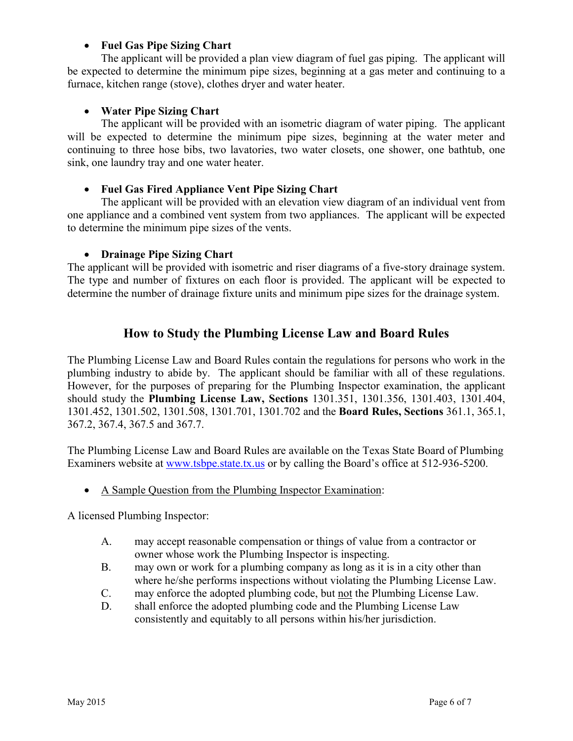# • **Fuel Gas Pipe Sizing Chart**

The applicant will be provided a plan view diagram of fuel gas piping. The applicant will be expected to determine the minimum pipe sizes, beginning at a gas meter and continuing to a furnace, kitchen range (stove), clothes dryer and water heater.

# • **Water Pipe Sizing Chart**

The applicant will be provided with an isometric diagram of water piping. The applicant will be expected to determine the minimum pipe sizes, beginning at the water meter and continuing to three hose bibs, two lavatories, two water closets, one shower, one bathtub, one sink, one laundry tray and one water heater.

# • **Fuel Gas Fired Appliance Vent Pipe Sizing Chart**

The applicant will be provided with an elevation view diagram of an individual vent from one appliance and a combined vent system from two appliances. The applicant will be expected to determine the minimum pipe sizes of the vents.

# • **Drainage Pipe Sizing Chart**

The applicant will be provided with isometric and riser diagrams of a five-story drainage system. The type and number of fixtures on each floor is provided. The applicant will be expected to determine the number of drainage fixture units and minimum pipe sizes for the drainage system.

# **How to Study the Plumbing License Law and Board Rules**

The Plumbing License Law and Board Rules contain the regulations for persons who work in the plumbing industry to abide by. The applicant should be familiar with all of these regulations. However, for the purposes of preparing for the Plumbing Inspector examination, the applicant should study the **Plumbing License Law, Sections** 1301.351, 1301.356, 1301.403, 1301.404, 1301.452, 1301.502, 1301.508, 1301.701, 1301.702 and the **Board Rules, Sections** 361.1, 365.1, 367.2, 367.4, 367.5 and 367.7.

The Plumbing License Law and Board Rules are available on the Texas State Board of Plumbing Examiners website at [www.tsbpe.state.tx.us](http://www.tsbpe.state.tx.us/) or by calling the Board's office at 512-936-5200.

• A Sample Question from the Plumbing Inspector Examination:

A licensed Plumbing Inspector:

- A. may accept reasonable compensation or things of value from a contractor or owner whose work the Plumbing Inspector is inspecting.
- B. may own or work for a plumbing company as long as it is in a city other than where he/she performs inspections without violating the Plumbing License Law.
- C. may enforce the adopted plumbing code, but not the Plumbing License Law.
- D. shall enforce the adopted plumbing code and the Plumbing License Law consistently and equitably to all persons within his/her jurisdiction.